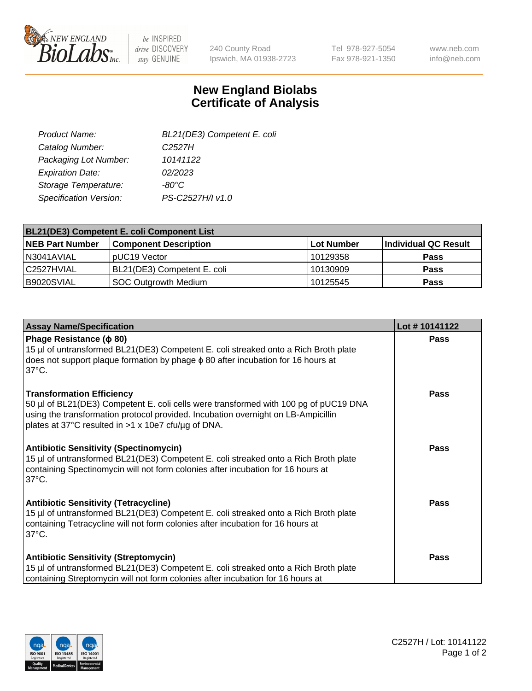

 $be$  INSPIRED drive DISCOVERY stay GENUINE

240 County Road Ipswich, MA 01938-2723 Tel 978-927-5054 Fax 978-921-1350 www.neb.com info@neb.com

## **New England Biolabs Certificate of Analysis**

| BL21(DE3) Competent E. coli |
|-----------------------------|
| C <sub>2527</sub> H         |
| 10141122                    |
| 02/2023                     |
| $-80^{\circ}$ C             |
| PS-C2527H/I v1.0            |
|                             |

| <b>BL21(DE3) Competent E. coli Component List</b> |                              |            |                      |  |
|---------------------------------------------------|------------------------------|------------|----------------------|--|
| <b>NEB Part Number</b>                            | <b>Component Description</b> | Lot Number | Individual QC Result |  |
| N3041AVIAL                                        | pUC19 Vector                 | 10129358   | <b>Pass</b>          |  |
| C2527HVIAL                                        | BL21(DE3) Competent E. coli  | 10130909   | <b>Pass</b>          |  |
| B9020SVIAL                                        | SOC Outgrowth Medium         | 10125545   | <b>Pass</b>          |  |

| <b>Assay Name/Specification</b>                                                                                                                                                                                                                                      | Lot #10141122 |
|----------------------------------------------------------------------------------------------------------------------------------------------------------------------------------------------------------------------------------------------------------------------|---------------|
| Phage Resistance ( $\phi$ 80)<br>15 µl of untransformed BL21(DE3) Competent E. coli streaked onto a Rich Broth plate<br>does not support plaque formation by phage $\phi$ 80 after incubation for 16 hours at<br>$37^{\circ}$ C.                                     | <b>Pass</b>   |
| <b>Transformation Efficiency</b><br>50 µl of BL21(DE3) Competent E. coli cells were transformed with 100 pg of pUC19 DNA<br>using the transformation protocol provided. Incubation overnight on LB-Ampicillin<br>plates at 37°C resulted in >1 x 10e7 cfu/µg of DNA. | Pass          |
| <b>Antibiotic Sensitivity (Spectinomycin)</b><br>15 µl of untransformed BL21(DE3) Competent E. coli streaked onto a Rich Broth plate<br>containing Spectinomycin will not form colonies after incubation for 16 hours at<br>$37^{\circ}$ C.                          | Pass          |
| <b>Antibiotic Sensitivity (Tetracycline)</b><br>15 µl of untransformed BL21(DE3) Competent E. coli streaked onto a Rich Broth plate<br>containing Tetracycline will not form colonies after incubation for 16 hours at<br>$37^{\circ}$ C.                            | Pass          |
| <b>Antibiotic Sensitivity (Streptomycin)</b><br>15 µl of untransformed BL21(DE3) Competent E. coli streaked onto a Rich Broth plate<br>containing Streptomycin will not form colonies after incubation for 16 hours at                                               | Pass          |